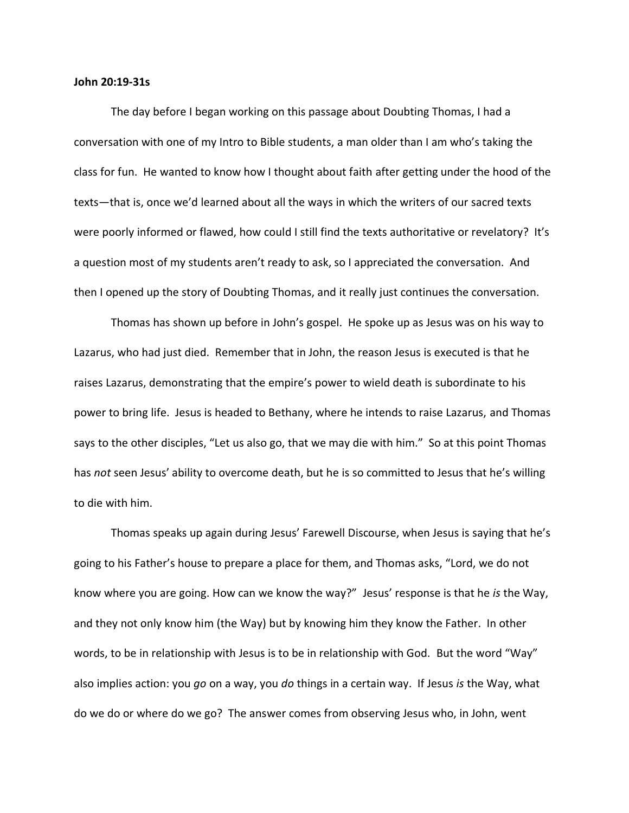## **John 20:19-31s**

The day before I began working on this passage about Doubting Thomas, I had a conversation with one of my Intro to Bible students, a man older than I am who's taking the class for fun. He wanted to know how I thought about faith after getting under the hood of the texts—that is, once we'd learned about all the ways in which the writers of our sacred texts were poorly informed or flawed, how could I still find the texts authoritative or revelatory? It's a question most of my students aren't ready to ask, so I appreciated the conversation. And then I opened up the story of Doubting Thomas, and it really just continues the conversation.

Thomas has shown up before in John's gospel. He spoke up as Jesus was on his way to Lazarus, who had just died. Remember that in John, the reason Jesus is executed is that he raises Lazarus, demonstrating that the empire's power to wield death is subordinate to his power to bring life. Jesus is headed to Bethany, where he intends to raise Lazarus, and Thomas says to the other disciples, "Let us also go, that we may die with him." So at this point Thomas has *not* seen Jesus' ability to overcome death, but he is so committed to Jesus that he's willing to die with him.

Thomas speaks up again during Jesus' Farewell Discourse, when Jesus is saying that he's going to his Father's house to prepare a place for them, and Thomas asks, "Lord, we do not know where you are going. How can we know the way?" Jesus' response is that he *is* the Way, and they not only know him (the Way) but by knowing him they know the Father. In other words, to be in relationship with Jesus is to be in relationship with God. But the word "Way" also implies action: you *go* on a way, you *do* things in a certain way. If Jesus *is* the Way, what do we do or where do we go? The answer comes from observing Jesus who, in John, went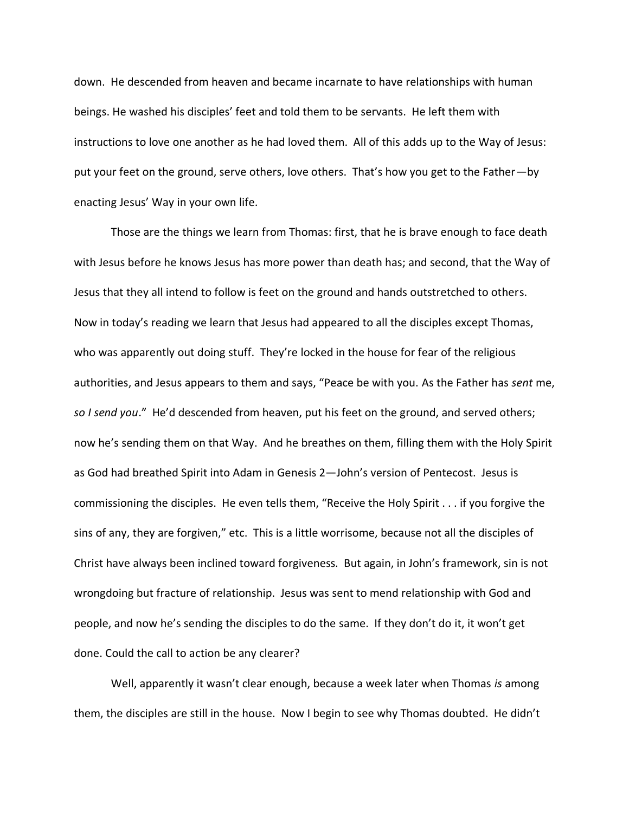down. He descended from heaven and became incarnate to have relationships with human beings. He washed his disciples' feet and told them to be servants. He left them with instructions to love one another as he had loved them. All of this adds up to the Way of Jesus: put your feet on the ground, serve others, love others. That's how you get to the Father—by enacting Jesus' Way in your own life.

Those are the things we learn from Thomas: first, that he is brave enough to face death with Jesus before he knows Jesus has more power than death has; and second, that the Way of Jesus that they all intend to follow is feet on the ground and hands outstretched to others. Now in today's reading we learn that Jesus had appeared to all the disciples except Thomas, who was apparently out doing stuff. They're locked in the house for fear of the religious authorities, and Jesus appears to them and says, "Peace be with you. As the Father has *sent* me, *so I send you*." He'd descended from heaven, put his feet on the ground, and served others; now he's sending them on that Way. And he breathes on them, filling them with the Holy Spirit as God had breathed Spirit into Adam in Genesis 2—John's version of Pentecost. Jesus is commissioning the disciples. He even tells them, "Receive the Holy Spirit . . . if you forgive the sins of any, they are forgiven," etc. This is a little worrisome, because not all the disciples of Christ have always been inclined toward forgiveness. But again, in John's framework, sin is not wrongdoing but fracture of relationship. Jesus was sent to mend relationship with God and people, and now he's sending the disciples to do the same. If they don't do it, it won't get done. Could the call to action be any clearer?

Well, apparently it wasn't clear enough, because a week later when Thomas *is* among them, the disciples are still in the house. Now I begin to see why Thomas doubted. He didn't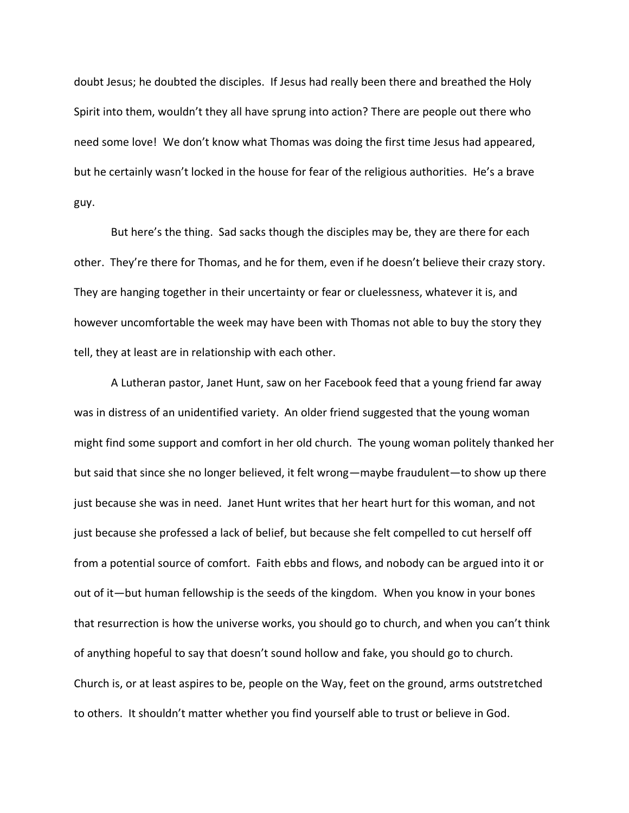doubt Jesus; he doubted the disciples. If Jesus had really been there and breathed the Holy Spirit into them, wouldn't they all have sprung into action? There are people out there who need some love! We don't know what Thomas was doing the first time Jesus had appeared, but he certainly wasn't locked in the house for fear of the religious authorities. He's a brave guy.

But here's the thing. Sad sacks though the disciples may be, they are there for each other. They're there for Thomas, and he for them, even if he doesn't believe their crazy story. They are hanging together in their uncertainty or fear or cluelessness, whatever it is, and however uncomfortable the week may have been with Thomas not able to buy the story they tell, they at least are in relationship with each other.

A Lutheran pastor, Janet Hunt, saw on her Facebook feed that a young friend far away was in distress of an unidentified variety. An older friend suggested that the young woman might find some support and comfort in her old church. The young woman politely thanked her but said that since she no longer believed, it felt wrong—maybe fraudulent—to show up there just because she was in need. Janet Hunt writes that her heart hurt for this woman, and not just because she professed a lack of belief, but because she felt compelled to cut herself off from a potential source of comfort. Faith ebbs and flows, and nobody can be argued into it or out of it—but human fellowship is the seeds of the kingdom. When you know in your bones that resurrection is how the universe works, you should go to church, and when you can't think of anything hopeful to say that doesn't sound hollow and fake, you should go to church. Church is, or at least aspires to be, people on the Way, feet on the ground, arms outstretched to others. It shouldn't matter whether you find yourself able to trust or believe in God.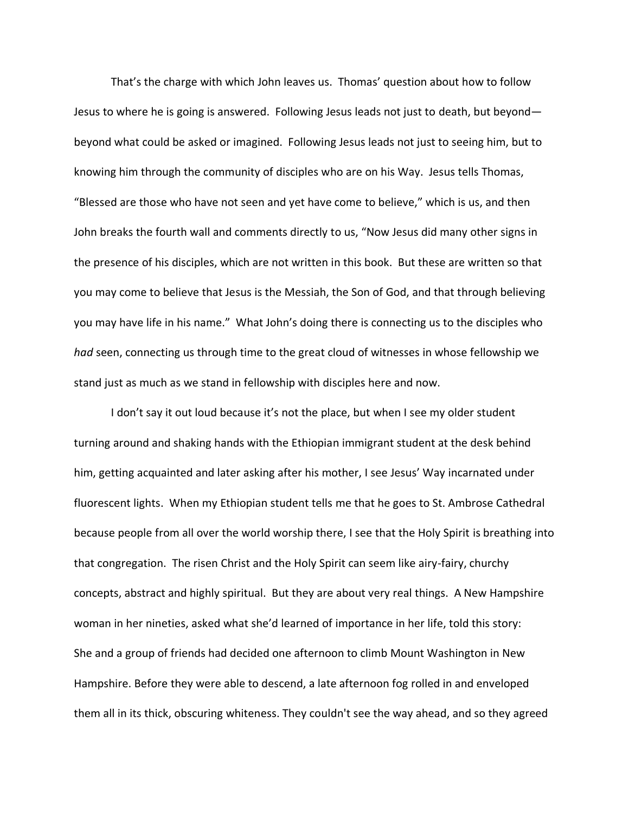That's the charge with which John leaves us. Thomas' question about how to follow Jesus to where he is going is answered. Following Jesus leads not just to death, but beyond beyond what could be asked or imagined. Following Jesus leads not just to seeing him, but to knowing him through the community of disciples who are on his Way. Jesus tells Thomas, "Blessed are those who have not seen and yet have come to believe," which is us, and then John breaks the fourth wall and comments directly to us, "Now Jesus did many other signs in the presence of his disciples, which are not written in this book. But these are written so that you may come to believe that Jesus is the Messiah, the Son of God, and that through believing you may have life in his name." What John's doing there is connecting us to the disciples who *had* seen, connecting us through time to the great cloud of witnesses in whose fellowship we stand just as much as we stand in fellowship with disciples here and now.

I don't say it out loud because it's not the place, but when I see my older student turning around and shaking hands with the Ethiopian immigrant student at the desk behind him, getting acquainted and later asking after his mother, I see Jesus' Way incarnated under fluorescent lights. When my Ethiopian student tells me that he goes to St. Ambrose Cathedral because people from all over the world worship there, I see that the Holy Spirit is breathing into that congregation. The risen Christ and the Holy Spirit can seem like airy-fairy, churchy concepts, abstract and highly spiritual. But they are about very real things. A New Hampshire woman in her nineties, asked what she'd learned of importance in her life, told this story: She and a group of friends had decided one afternoon to climb Mount Washington in New Hampshire. Before they were able to descend, a late afternoon fog rolled in and enveloped them all in its thick, obscuring whiteness. They couldn't see the way ahead, and so they agreed